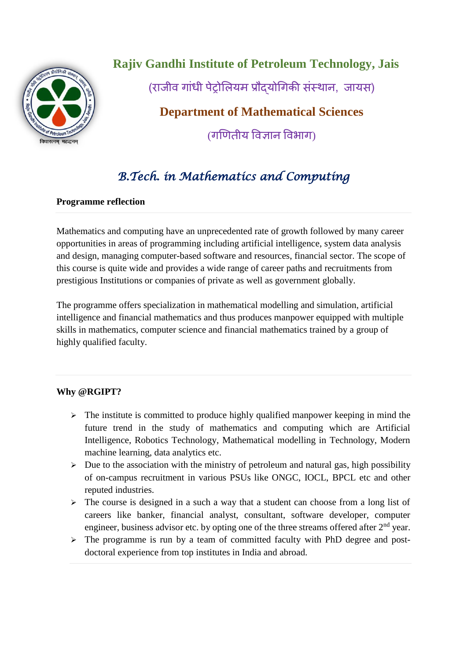

**Rajiv Gandhi Institute of Petroleum Technology, Jais**

(राजीव गांधी पेट्रोलियम प्रौदयोगिकी संस्थान, जायस)

# **Department of Mathematical Sciences**

(गणितीय ववज्ञान ववभाग)

# *B.Tech. in Mathematics and Computing*

### **Programme reflection**

Mathematics and computing have an unprecedented rate of growth followed by many career opportunities in areas of programming including artificial intelligence, system data analysis and design, managing computer-based software and resources, financial sector. The scope of this course is quite wide and provides a wide range of career paths and recruitments from prestigious Institutions or companies of private as well as government globally.

The programme offers specialization in mathematical modelling and simulation, artificial intelligence and financial mathematics and thus produces manpower equipped with multiple skills in mathematics, computer science and financial mathematics trained by a group of highly qualified faculty.

#### **Why @RGIPT?**

- $\triangleright$  The institute is committed to produce highly qualified manpower keeping in mind the future trend in the study of mathematics and computing which are Artificial Intelligence, Robotics Technology, Mathematical modelling in Technology, Modern machine learning, data analytics etc.
- $\triangleright$  Due to the association with the ministry of petroleum and natural gas, high possibility of on-campus recruitment in various PSUs like ONGC, IOCL, BPCL etc and other reputed industries.
- $\triangleright$  The course is designed in a such a way that a student can choose from a long list of careers like banker, financial analyst, consultant, software developer, computer engineer, business advisor etc. by opting one of the three streams offered after  $2<sup>nd</sup>$  year.
- $\triangleright$  The programme is run by a team of committed faculty with PhD degree and postdoctoral experience from top institutes in India and abroad.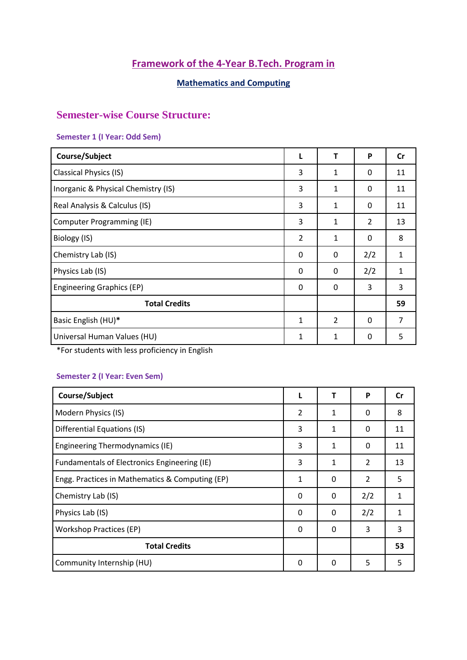# **Framework of the 4-Year B.Tech. Program in**

# **Mathematics and Computing**

# **Semester-wise Course Structure:**

#### **Semester 1 (I Year: Odd Sem)**

| Course/Subject                      | L             | т              | P              | Cr |
|-------------------------------------|---------------|----------------|----------------|----|
| <b>Classical Physics (IS)</b>       | 3             | 1              | 0              | 11 |
| Inorganic & Physical Chemistry (IS) | 3             | 1              | 0              | 11 |
| Real Analysis & Calculus (IS)       | 3             | 1              | 0              | 11 |
| Computer Programming (IE)           | 3             | 1              | $\overline{2}$ | 13 |
| Biology (IS)                        | $\mathcal{P}$ | 1              | $\Omega$       | 8  |
| Chemistry Lab (IS)                  | 0             | 0              | 2/2            | 1  |
| Physics Lab (IS)                    | 0             | 0              | 2/2            | 1  |
| <b>Engineering Graphics (EP)</b>    | 0             | 0              | 3              | 3  |
| <b>Total Credits</b>                |               |                |                | 59 |
| Basic English (HU)*                 | $\mathbf{1}$  | $\overline{2}$ | 0              | 7  |
| Universal Human Values (HU)         | 1             | 1              | 0              | 5  |

\*For students with less proficiency in English

### **Semester 2 (I Year: Even Sem)**

| Course/Subject                                  |                | т        | P              | Cr |
|-------------------------------------------------|----------------|----------|----------------|----|
| Modern Physics (IS)                             | $\overline{2}$ | 1        | 0              | 8  |
| Differential Equations (IS)                     | 3              | 1        | 0              | 11 |
| Engineering Thermodynamics (IE)                 | 3              | 1        | 0              | 11 |
| Fundamentals of Electronics Engineering (IE)    | 3              | 1        | 2              | 13 |
| Engg. Practices in Mathematics & Computing (EP) | 1              | 0        | $\overline{2}$ | 5  |
| Chemistry Lab (IS)                              | $\Omega$       | $\Omega$ | 2/2            | 1  |
| Physics Lab (IS)                                | 0              | 0        | 2/2            | 1  |
| <b>Workshop Practices (EP)</b>                  | 0              | 0        | 3              | 3  |
| <b>Total Credits</b>                            |                |          |                | 53 |
| Community Internship (HU)                       | 0              | $\Omega$ | 5              | 5  |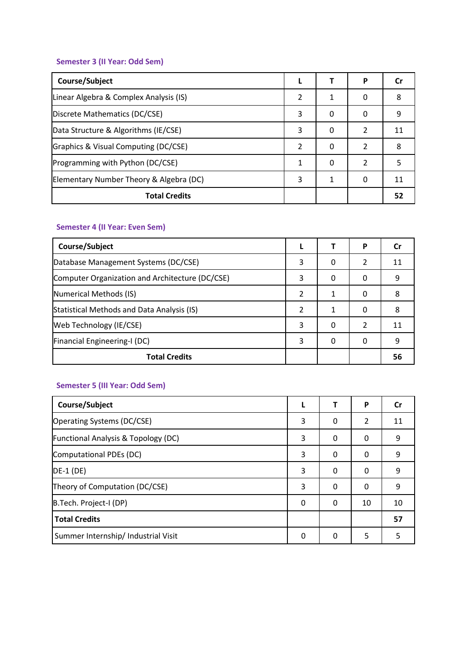# **Semester 3 (II Year: Odd Sem)**

| Course/Subject                          |   |   | P |    |
|-----------------------------------------|---|---|---|----|
| Linear Algebra & Complex Analysis (IS)  | 2 | 1 | 0 | 8  |
| Discrete Mathematics (DC/CSE)           | 3 | 0 | 0 | 9  |
| Data Structure & Algorithms (IE/CSE)    | 3 | 0 | 2 | 11 |
| Graphics & Visual Computing (DC/CSE)    | 2 | 0 | 2 | 8  |
| Programming with Python (DC/CSE)        | 1 | 0 | 2 |    |
| Elementary Number Theory & Algebra (DC) | 3 | 1 |   | 11 |
| <b>Total Credits</b>                    |   |   |   | 52 |

#### **Semester 4 (II Year: Even Sem)**

| Course/Subject                                  |   |   | P                        | Cr |
|-------------------------------------------------|---|---|--------------------------|----|
| Database Management Systems (DC/CSE)            | 3 | 0 | 2                        | 11 |
| Computer Organization and Architecture (DC/CSE) | 3 | 0 | 0                        | 9  |
| Numerical Methods (IS)                          | 2 |   | 0                        | 8  |
| Statistical Methods and Data Analysis (IS)      | 2 | 1 | 0                        | 8  |
| Web Technology (IE/CSE)                         | 3 | 0 | $\overline{\phantom{a}}$ |    |
| Financial Engineering-I (DC)                    |   | 0 | 0                        | q  |
| <b>Total Credits</b>                            |   |   |                          | 56 |

# **Semester 5 (III Year: Odd Sem)**

| Course/Subject                                 |   |   | P              | Cr |
|------------------------------------------------|---|---|----------------|----|
| Operating Systems (DC/CSE)                     | 3 | 0 | $\overline{2}$ | 11 |
| <b>Functional Analysis &amp; Topology (DC)</b> | 3 | 0 | 0              | 9  |
| Computational PDEs (DC)                        | 3 | 0 | 0              | 9  |
| $DE-1$ (DE)                                    | 3 | 0 | 0              | 9  |
| Theory of Computation (DC/CSE)                 | 3 | 0 | 0              | 9  |
| B.Tech. Project-I (DP)                         | 0 | 0 | 10             | 10 |
| <b>Total Credits</b>                           |   |   |                | 57 |
| Summer Internship/ Industrial Visit            | 0 | 0 | 5              | 5  |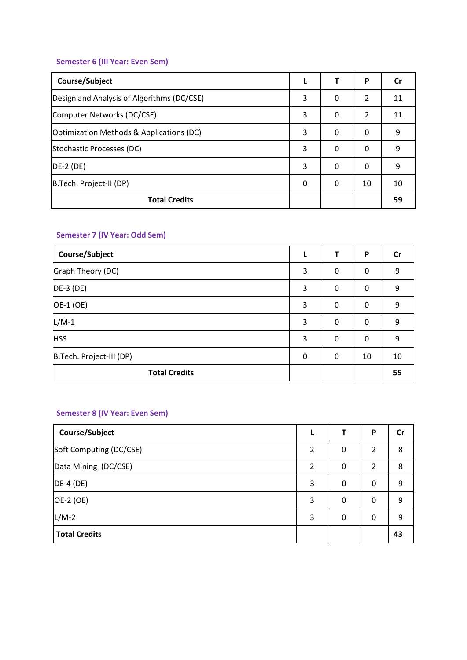# **Semester 6 (III Year: Even Sem)**

| Course/Subject                             |   |   | P              | Cr |
|--------------------------------------------|---|---|----------------|----|
| Design and Analysis of Algorithms (DC/CSE) | 3 | 0 | $\mathcal{P}$  | 11 |
| Computer Networks (DC/CSE)                 | 3 | 0 | $\mathfrak{p}$ | 11 |
| Optimization Methods & Applications (DC)   | 3 | 0 | 0              | 9  |
| Stochastic Processes (DC)                  | 3 | 0 | $\Omega$       | 9  |
| $DE-2$ (DE)                                | 3 | 0 | $\Omega$       | 9  |
| B.Tech. Project-II (DP)                    | 0 | 0 | 10             | 10 |
| <b>Total Credits</b>                       |   |   |                | 59 |

### **Semester 7 (IV Year: Odd Sem)**

| Course/Subject           |   |   | P        | $\mathsf{Cr}$ |
|--------------------------|---|---|----------|---------------|
| Graph Theory (DC)        | 3 | 0 | 0        | 9             |
| $DE-3$ (DE)              | 3 | 0 | 0        | 9             |
| OE-1 (OE)                | 3 | 0 | $\Omega$ | 9             |
| $L/M-1$                  | 3 | 0 | 0        | 9             |
| <b>HSS</b>               | 3 | 0 | $\Omega$ | 9             |
| B.Tech. Project-III (DP) | 0 | 0 | 10       | 10            |
| <b>Total Credits</b>     |   |   |          | 55            |

# **Semester 8 (IV Year: Even Sem)**

| Course/Subject          |               |   | P              | Cr |
|-------------------------|---------------|---|----------------|----|
| Soft Computing (DC/CSE) | 2             | 0 | 2              | 8  |
| Data Mining (DC/CSE)    | $\mathcal{P}$ | 0 | $\mathfrak{p}$ | 8  |
| $DE-4(DE)$              | 3             | 0 | 0              | 9  |
| OE-2 (OE)               | 3             | 0 | 0              | 9  |
| $L/M-2$                 | 3             | 0 | 0              | 9  |
| <b>Total Credits</b>    |               |   |                | 43 |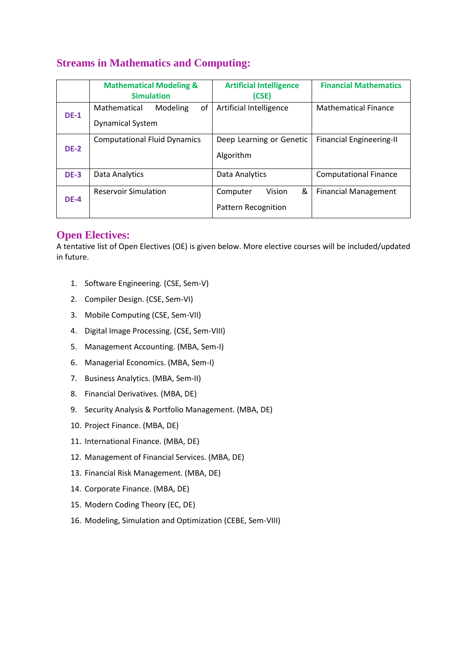# **Streams in Mathematics and Computing:**

|             | <b>Mathematical Modeling &amp;</b><br><b>Simulation</b>   | <b>Artificial Intelligence</b><br>(CSE)               | <b>Financial Mathematics</b>    |
|-------------|-----------------------------------------------------------|-------------------------------------------------------|---------------------------------|
| <b>DE-1</b> | of<br>Mathematical<br>Modeling<br><b>Dynamical System</b> | Artificial Intelligence                               | Mathematical Finance            |
| <b>DE-2</b> | <b>Computational Fluid Dynamics</b>                       | Deep Learning or Genetic<br>Algorithm                 | <b>Financial Engineering-II</b> |
| <b>DE-3</b> | Data Analytics                                            | Data Analytics                                        | <b>Computational Finance</b>    |
| <b>DE-4</b> | <b>Reservoir Simulation</b>                               | &<br>Vision<br>Computer<br><b>Pattern Recognition</b> | <b>Financial Management</b>     |

#### **Open Electives:**

A tentative list of Open Electives (OE) is given below. More elective courses will be included/updated in future.

- 1. Software Engineering. (CSE, Sem-V)
- 2. Compiler Design. (CSE, Sem-VI)
- 3. Mobile Computing (CSE, Sem-VII)
- 4. Digital Image Processing. (CSE, Sem-VIII)
- 5. Management Accounting. (MBA, Sem-I)
- 6. Managerial Economics. (MBA, Sem-I)
- 7. Business Analytics. (MBA, Sem-II)
- 8. Financial Derivatives. (MBA, DE)
- 9. Security Analysis & Portfolio Management. (MBA, DE)
- 10. Project Finance. (MBA, DE)
- 11. International Finance. (MBA, DE)
- 12. Management of Financial Services. (MBA, DE)
- 13. Financial Risk Management. (MBA, DE)
- 14. Corporate Finance. (MBA, DE)
- 15. Modern Coding Theory (EC, DE)
- 16. Modeling, Simulation and Optimization (CEBE, Sem-VIII)